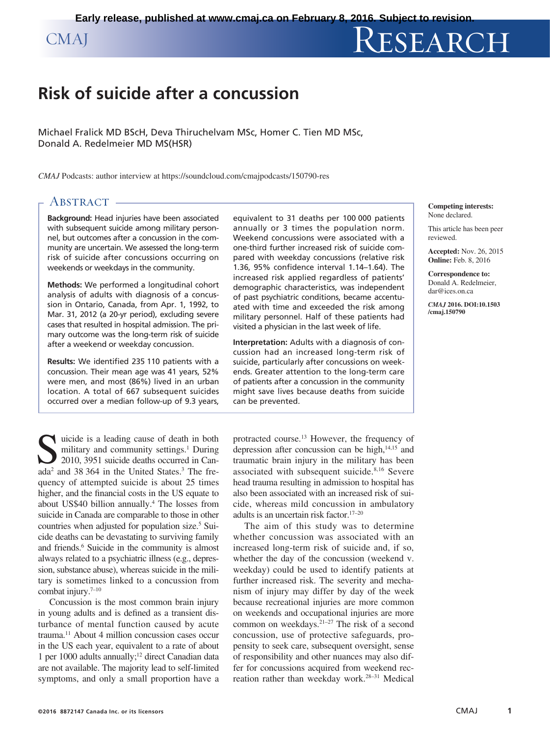# CMAJ RESEARCH

# **Risk of suicide after a concussion**

Michael Fralick MD BScH, Deva Thiruchelvam MSc, Homer C. Tien MD MSc, Donald A. Redelmeier MD MS(HSR)

*CMAJ* Podcasts: author interview at https://soundcloud.com/cmajpodcasts/150790-res

# ABSTRACT -

**Background:** Head injuries have been associated with subsequent suicide among military personnel, but outcomes after a concussion in the community are uncertain. We assessed the long-term risk of suicide after concussions occurring on weekends or weekdays in the community.

**Methods:** We performed a longitudinal cohort analysis of adults with diagnosis of a concussion in Ontario, Canada, from Apr. 1, 1992, to Mar. 31, 2012 (a 20-yr period), excluding severe cases that resulted in hospital admission. The primary outcome was the long-term risk of suicide after a weekend or weekday concussion.

**Results:** We identified 235 110 patients with a concussion. Their mean age was 41 years, 52% were men, and most (86%) lived in an urban location. A total of 667 subsequent suicides occurred over a median follow-up of 9.3 years,

suicide is a leading cause of death in both<br>military and community settings.<sup>1</sup> During<br>2010, 3951 suicide deaths occurred in Can-<br>202<sup>2</sup> and 38,364 in the United States<sup>3</sup> The free military and community settings.<sup>1</sup> During 2010, 3951 suicide deaths occurred in Canada<sup>2</sup> and 38 364 in the United States.<sup>3</sup> The frequency of attempted suicide is about 25 times higher, and the financial costs in the US equate to about US\$40 billion annually.<sup>4</sup> The losses from suicide in Canada are comparable to those in other countries when adjusted for population size.<sup>5</sup> Suicide deaths can be devastating to surviving family and friends.<sup>6</sup> Suicide in the community is almost always related to a psychiatric illness (e.g., depression, substance abuse), whereas suicide in the military is sometimes linked to a concussion from combat injury. $7-10$ 

Concussion is the most common brain injury in young adults and is defined as a transient disturbance of mental function caused by acute trauma.11 About 4 million concussion cases occur in the US each year, equivalent to a rate of about 1 per 1000 adults annually;12 direct Canadian data are not available. The majority lead to self-limited symptoms, and only a small proportion have a equivalent to 31 deaths per 100 000 patients annually or 3 times the population norm. Weekend concussions were associated with a one-third further increased risk of suicide compared with weekday concussions (relative risk 1.36, 95% confidence interval 1.14–1.64). The increased risk applied regardless of patients' demographic characteristics, was independent of past psychiatric conditions, became accentuated with time and exceeded the risk among military personnel. Half of these patients had visited a physician in the last week of life.

**Interpretation:** Adults with a diagnosis of concussion had an increased long-term risk of suicide, particularly after concussions on weekends. Greater attention to the long-term care of patients after a concussion in the community might save lives because deaths from suicide can be prevented.

protracted course.13 However, the frequency of depression after concussion can be high,<sup>14,15</sup> and traumatic brain injury in the military has been associated with subsequent suicide.<sup>8,16</sup> Severe head trauma resulting in admission to hospital has also been associated with an increased risk of suicide, whereas mild concussion in ambulatory adults is an uncertain risk factor.17–20

The aim of this study was to determine whether concussion was associated with an increased long-term risk of suicide and, if so, whether the day of the concussion (weekend v. weekday) could be used to identify patients at further increased risk. The severity and mechanism of injury may differ by day of the week because recreational injuries are more common on weekends and occupational injuries are more common on weekdays.21–27 The risk of a second concussion, use of protective safeguards, propensity to seek care, subsequent oversight, sense of responsibility and other nuances may also differ for concussions acquired from weekend recreation rather than weekday work.28–31 Medical

#### **Competing interests:** None declared.

This article has been peer reviewed.

**Accepted:** Nov. 26, 2015 **Online:** Feb. 8, 2016

**Correspondence to:** Donald A. Redelmeier, dar@ices.on.ca

*CMAJ* **2016. DOI:10.1503 /cmaj.150790**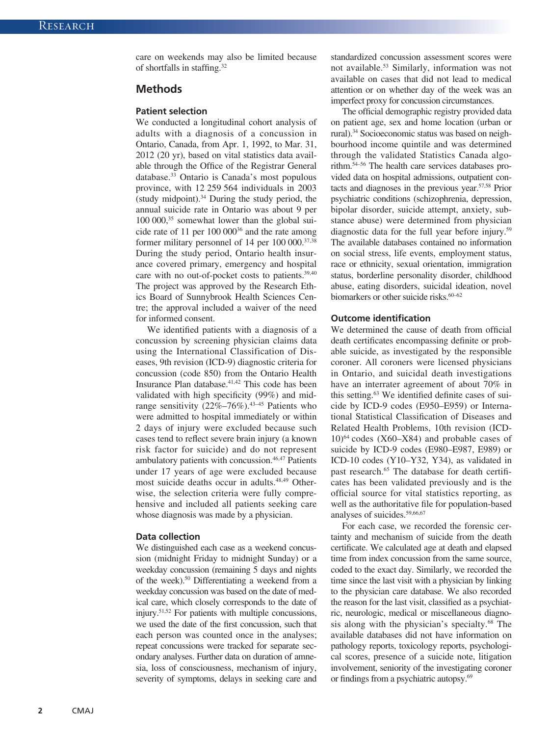care on weekends may also be limited because of shortfalls in staffing.32

### **Methods**

#### **Patient selection**

We conducted a longitudinal cohort analysis of adults with a diagnosis of a concussion in Ontario, Canada, from Apr. 1, 1992, to Mar. 31, 2012 (20 yr), based on vital statistics data available through the Office of the Registrar General database.33 Ontario is Canada's most populous province, with 12 259 564 individuals in 2003 (study midpoint). $34$  During the study period, the annual suicide rate in Ontario was about 9 per 100 000,35 somewhat lower than the global suicide rate of 11 per  $100\ 000^{36}$  and the rate among former military personnel of  $14$  per  $100\,000$ <sup>37,38</sup> During the study period, Ontario health insurance covered primary, emergency and hospital care with no out-of-pocket costs to patients.<sup>39,40</sup> The project was approved by the Research Ethics Board of Sunnybrook Health Sciences Centre; the approval included a waiver of the need for informed consent.

We identified patients with a diagnosis of a concussion by screening physician claims data using the International Classification of Diseases, 9th revision (ICD-9) diagnostic criteria for concussion (code 850) from the Ontario Health Insurance Plan database.<sup>41,42</sup> This code has been validated with high specificity (99%) and midrange sensitivity  $(22\%-76\%)$ .<sup>43-45</sup> Patients who were admitted to hospital immediately or within 2 days of injury were excluded because such cases tend to reflect severe brain injury (a known risk factor for suicide) and do not represent ambulatory patients with concussion.46,47 Patients under 17 years of age were excluded because most suicide deaths occur in adults.<sup>48,49</sup> Otherwise, the selection criteria were fully comprehensive and included all patients seeking care whose diagnosis was made by a physician.

#### **Data collection**

We distinguished each case as a weekend concussion (midnight Friday to midnight Sunday) or a weekday concussion (remaining 5 days and nights of the week).50 Differentiating a weekend from a weekday concussion was based on the date of medical care, which closely corresponds to the date of injury.51,52 For patients with multiple concussions, we used the date of the first concussion, such that each person was counted once in the analyses; repeat concussions were tracked for separate secondary analyses. Further data on duration of amnesia, loss of consciousness, mechanism of injury, severity of symptoms, delays in seeking care and

standardized concussion assessment scores were not available.53 Similarly, information was not available on cases that did not lead to medical attention or on whether day of the week was an imperfect proxy for concussion circumstances.

The official demographic registry provided data on patient age, sex and home location (urban or rural).34 Socioeconomic status was based on neighbourhood income quintile and was determined through the validated Statistics Canada algorithm.54–56 The health care services databases provided data on hospital admissions, outpatient contacts and diagnoses in the previous year.57,58 Prior psychiatric conditions (schizophrenia, depression, bipolar disorder, suicide attempt, anxiety, substance abuse) were determined from physician diagnostic data for the full year before injury.59 The available databases contained no information on social stress, life events, employment status, race or ethnicity, sexual orientation, immigration status, borderline personality disorder, childhood abuse, eating disorders, suicidal ideation, novel biomarkers or other suicide risks.<sup>60–62</sup>

#### **Outcome identification**

We determined the cause of death from official death certificates encompassing definite or probable suicide, as investigated by the responsible coroner. All coroners were licensed physicians in Ontario, and suicidal death investigations have an interrater agreement of about 70% in this setting.63 We identified definite cases of suicide by ICD-9 codes (E950–E959) or International Statistical Classification of Diseases and Related Health Problems, 10th revision (ICD- $10)^{64}$  codes (X60–X84) and probable cases of suicide by ICD-9 codes (E980–E987, E989) or ICD-10 codes (Y10–Y32, Y34), as validated in past research.<sup>65</sup> The database for death certificates has been validated previously and is the official source for vital statistics reporting, as well as the authoritative file for population-based analyses of suicides.59,66,67

For each case, we recorded the forensic certainty and mechanism of suicide from the death certificate. We calculated age at death and elapsed time from index concussion from the same source, coded to the exact day. Similarly, we recorded the time since the last visit with a physician by linking to the physician care database. We also recorded the reason for the last visit, classified as a psychiatric, neurologic, medical or miscellaneous diagnosis along with the physician's specialty.68 The available databases did not have information on pathology reports, toxicology reports, psychological scores, presence of a suicide note, litigation involvement, seniority of the investigating coroner or findings from a psychiatric autopsy.69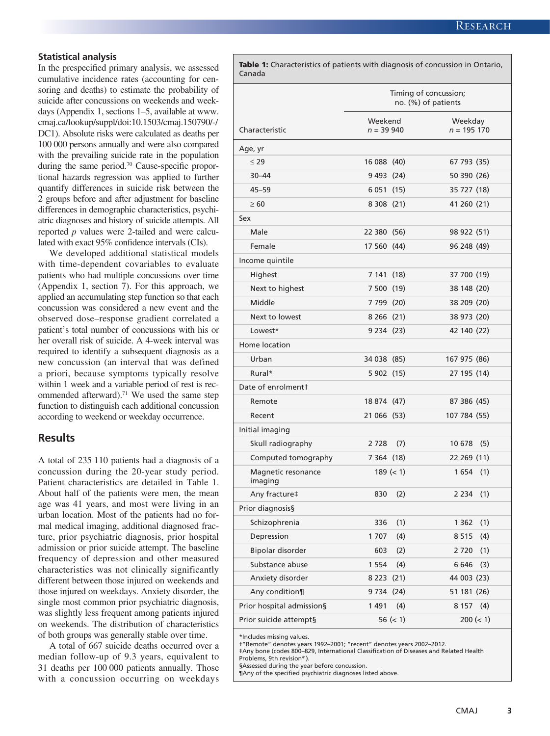# **Statistical analysis**

In the prespecified primary analysis, we assessed cumulative incidence rates (accounting for censoring and deaths) to estimate the probability of suicide after concussions on weekends and weekdays (Appendix 1, sections 1–5, available at www. cmaj.ca/lookup/suppl/doi:10.1503/cmaj.150790/-/ DC1). Absolute risks were calculated as deaths per 100 000 persons annually and were also compared with the prevailing suicide rate in the population during the same period.<sup>70</sup> Cause-specific proportional hazards regression was applied to further quantify differences in suicide risk between the 2 groups before and after adjustment for baseline differences in demographic characteristics, psychiatric diagnoses and history of suicide attempts. All reported *p* values were 2-tailed and were calculated with exact 95% confidence intervals (CIs).

We developed additional statistical models with time-dependent covariables to evaluate patients who had multiple concussions over time (Appendix 1, section 7). For this approach, we applied an accumulating step function so that each concussion was considered a new event and the observed dose–response gradient correlated a patient's total number of concussions with his or her overall risk of suicide. A 4-week interval was required to identify a subsequent diagnosis as a new concussion (an interval that was defined a priori, because symptoms typically resolve within 1 week and a variable period of rest is recommended afterward).<sup>71</sup> We used the same step function to distinguish each additional concussion according to weekend or weekday occurrence.

# **Results**

A total of 235 110 patients had a diagnosis of a concussion during the 20-year study period. Patient characteristics are detailed in Table 1. About half of the patients were men, the mean age was 41 years, and most were living in an urban location. Most of the patients had no formal medical imaging, additional diagnosed fracture, prior psychiatric diagnosis, prior hospital admission or prior suicide attempt. The baseline frequency of depression and other measured characteristics was not clinically significantly different between those injured on weekends and those injured on weekdays. Anxiety disorder, the single most common prior psychiatric diagnosis, was slightly less frequent among patients injured on weekends. The distribution of characteristics of both groups was generally stable over time.

A total of 667 suicide deaths occurred over a median follow-up of 9.3 years, equivalent to 31 deaths per 100 000 patients annually. Those with a concussion occurring on weekdays

| <b>Table 1:</b> Characteristics of patients with diagnosis of concussion in Ontario,<br>Canada |                                              |             |                          |           |  |
|------------------------------------------------------------------------------------------------|----------------------------------------------|-------------|--------------------------|-----------|--|
|                                                                                                | Timing of concussion;<br>no. (%) of patients |             |                          |           |  |
| Characteristic                                                                                 | Weekend<br>$n = 39940$                       |             | Weekday<br>$n = 195 170$ |           |  |
| Age, yr                                                                                        |                                              |             |                          |           |  |
| $\leq 29$                                                                                      | 16 088 (40)                                  |             | 67 793 (35)              |           |  |
| $30 - 44$                                                                                      | 9 493 (24)                                   |             | 50 390 (26)              |           |  |
| $45 - 59$                                                                                      | 6 0 51 (15)                                  |             | 35 727 (18)              |           |  |
| $\geq 60$                                                                                      | 8 3 0 8 (21)                                 |             | 41 260 (21)              |           |  |
| Sex                                                                                            |                                              |             |                          |           |  |
| Male                                                                                           | 22 380 (56)                                  |             | 98 922 (51)              |           |  |
| Female                                                                                         | 17 560 (44)                                  |             | 96 248 (49)              |           |  |
| Income quintile                                                                                |                                              |             |                          |           |  |
| Highest                                                                                        | 7 141 (18)                                   |             | 37 700 (19)              |           |  |
| Next to highest                                                                                | 7 500 (19)                                   |             | 38 148 (20)              |           |  |
| Middle                                                                                         | 7 799 (20)                                   |             | 38 209 (20)              |           |  |
| Next to lowest                                                                                 | 8 2 66 (21)                                  |             | 38 973 (20)              |           |  |
| Lowest*                                                                                        | 9 2 34 (2 3)                                 |             | 42 140 (22)              |           |  |
| Home location                                                                                  |                                              |             |                          |           |  |
| Urban                                                                                          | 34 038 (85)                                  |             | 167 975 (86)             |           |  |
| Rural*                                                                                         | 5 902 (15)                                   |             | 27 195 (14)              |           |  |
| Date of enrolmentt                                                                             |                                              |             |                          |           |  |
| Remote                                                                                         | 18 874 (47)                                  |             | 87 386 (45)              |           |  |
| Recent                                                                                         | 21 066 (53)                                  |             | 107 784 (55)             |           |  |
| Initial imaging                                                                                |                                              |             |                          |           |  |
| Skull radiography                                                                              | 2728                                         | (7)         | 10 678                   | (5)       |  |
| Computed tomography                                                                            | 7 364 (18)                                   |             | 22 269 (11)              |           |  |
| Magnetic resonance<br>imaging                                                                  |                                              | $189 (= 1)$ | 1654(1)                  |           |  |
| Any fracture‡                                                                                  | 830                                          | (2)         | 2 2 3 4                  | (1)       |  |
| Prior diagnosis§                                                                               |                                              |             |                          |           |  |
| Schizophrenia                                                                                  | 336                                          | (1)         | 1 3 6 2                  | (1)       |  |
| Depression                                                                                     | 1707                                         | (4)         | 8 5 1 5                  | (4)       |  |
| Bipolar disorder                                                                               | 603                                          | (2)         | 2720                     | (1)       |  |
| Substance abuse                                                                                | 1 5 5 4                                      | (4)         | 6 6 4 6                  | (3)       |  |
| Anxiety disorder                                                                               | 8 2 23 (21)                                  |             | 44 003 (23)              |           |  |
| Any condition¶                                                                                 | 9 7 34 (24)                                  |             | 51 181 (26)              |           |  |
| Prior hospital admission§                                                                      | 1 4 9 1                                      | (4)         | 8 1 5 7                  | (4)       |  |
| Prior suicide attempt§                                                                         |                                              | $56 (= 1)$  |                          | 200 (< 1) |  |

\*Includes missing values.

†"Remote" denotes years 1992–2001; "recent" denotes years 2002–2012.

‡Any bone (codes 800–829, International Classification of Diseases and Related Health Problems, 9th revision<sup>41</sup>).

§Assessed during the year before concussion.

¶Any of the specified psychiatric diagnoses listed above.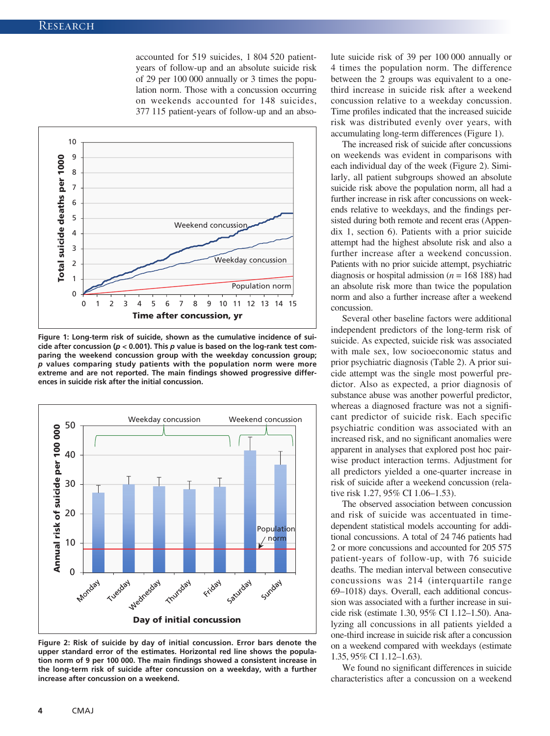accounted for 519 suicides, 1 804 520 patientyears of follow-up and an absolute suicide risk of 29 per 100 000 annually or 3 times the population norm. Those with a concussion occurring on weekends accounted for 148 suicides, 377 115 patient-years of follow-up and an abso-



**Figure 1: Long-term risk of suicide, shown as the cumulative incidence of suicide after concussion (***p* **< 0.001). This** *p* **value is based on the log-rank test comparing the weekend concussion group with the weekday concussion group;**  *p* **values comparing study patients with the population norm were more extreme and are not reported. The main findings showed progressive differences in suicide risk after the initial concussion.**



**Figure 2: Risk of suicide by day of initial concussion. Error bars denote the upper standard error of the estimates. Horizontal red line shows the population norm of 9 per 100 000. The main findings showed a consistent increase in the long-term risk of suicide after concussion on a weekday, with a further increase after concussion on a weekend.**

lute suicide risk of 39 per 100 000 annually or 4 times the population norm. The difference between the 2 groups was equivalent to a onethird increase in suicide risk after a weekend concussion relative to a weekday concussion. Time profiles indicated that the increased suicide risk was distributed evenly over years, with accumulating long-term differences (Figure 1).

The increased risk of suicide after concussions on weekends was evident in comparisons with each individual day of the week (Figure 2). Similarly, all patient subgroups showed an absolute suicide risk above the population norm, all had a further increase in risk after concussions on weekends relative to weekdays, and the findings persisted during both remote and recent eras (Appendix 1, section 6). Patients with a prior suicide attempt had the highest absolute risk and also a further increase after a weekend concussion. Patients with no prior suicide attempt, psychiatric diagnosis or hospital admission (*n* = 168 188) had an absolute risk more than twice the population norm and also a further increase after a weekend concussion.

Several other baseline factors were additional independent predictors of the long-term risk of suicide. As expected, suicide risk was associated with male sex, low socioeconomic status and prior psychiatric diagnosis (Table 2). A prior suicide attempt was the single most powerful predictor. Also as expected, a prior diagnosis of substance abuse was another powerful predictor, whereas a diagnosed fracture was not a significant predictor of suicide risk. Each specific psychiatric condition was associated with an increased risk, and no significant anomalies were apparent in analyses that explored post hoc pairwise product interaction terms. Adjustment for all predictors yielded a one-quarter increase in risk of suicide after a weekend concussion (relative risk 1.27, 95% CI 1.06–1.53).

The observed association between concussion and risk of suicide was accentuated in timedependent statistical models accounting for additional concussions. A total of 24 746 patients had 2 or more concussions and accounted for 205 575 patient-years of follow-up, with 76 suicide deaths. The median interval between consecutive concussions was 214 (interquartile range 69–1018) days. Overall, each additional concussion was associated with a further increase in suicide risk (estimate 1.30, 95% CI 1.12–1.50). Analyzing all concussions in all patients yielded a one-third increase in suicide risk after a concussion on a weekend compared with weekdays (estimate 1.35, 95% CI 1.12–1.63).

We found no significant differences in suicide characteristics after a concussion on a weekend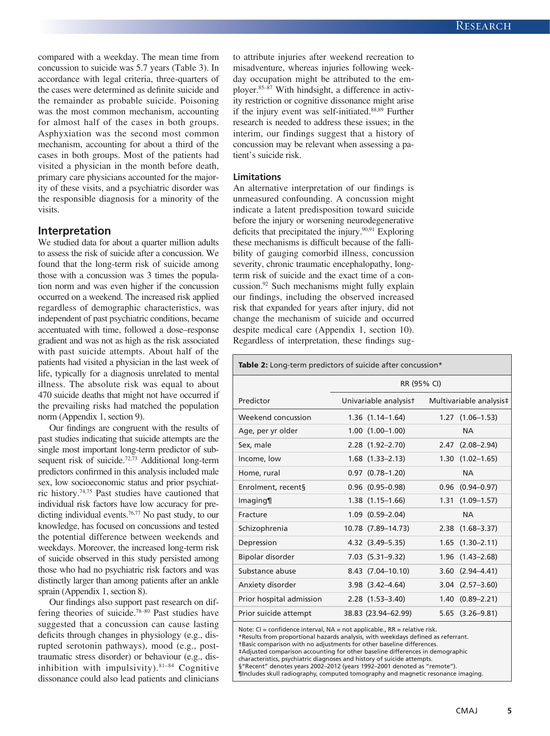compared with a weekday. The mean time from concussion to suicide was 5.7 years (Table 3). In accordance with legal criteria, three-quarters of the cases were determined as definite suicide and the remainder as probable suicide. Poisoning was the most common mechanism, accounting for almost half of the cases in both groups. Asphyxiation was the second most common mechanism, accounting for about a third of the cases in both groups. Most of the patients had visited a physician in the month before death, primary care physicians accounted for the majority of these visits, and a psychiatric disorder was the responsible diagnosis for a minority of the visits.

#### **Interpretation**

We studied data for about a quarter million adults to assess the risk of suicide after a concussion. We found that the long-term risk of suicide among those with a concussion was 3 times the population norm and was even higher if the concussion occurred on a weekend. The increased risk applied regardless of demographic characteristics, was independent of past psychiatric conditions, became accentuated with time, followed a dose–response gradient and was not as high as the risk associated with past suicide attempts. About half of the patients had visited a physician in the last week of life, typically for a diagnosis unrelated to mental illness. The absolute risk was equal to about 470 suicide deaths that might not have occurred if the prevailing risks had matched the population norm (Appendix 1, section 9).

Our findings are congruent with the results of past studies indicating that suicide attempts are the single most important long-term predictor of subsequent risk of suicide.<sup>72,73</sup> Additional long-term predictors confirmed in this analysis included male sex, low socioeconomic status and prior psychiatric history.74,75 Past studies have cautioned that individual risk factors have low accuracy for predicting individual events.<sup>76,77</sup> No past study, to our knowledge, has focused on concussions and tested the potential difference between weekends and weekdays. Moreover, the increased long-term risk of suicide observed in this study persisted among those who had no psychiatric risk factors and was distinctly larger than among patients after an ankle sprain (Appendix 1, section 8).

Our findings also support past research on differing theories of suicide.78–80 Past studies have suggested that a concussion can cause lasting deficits through changes in physiology (e.g., disrupted serotonin pathways), mood (e.g., posttraumatic stress disorder) or behaviour (e.g., disinhibition with impulsivity). $81-84$  Cognitive dissonance could also lead patients and clinicians to attribute injuries after weekend recreation to misadventure, whereas injuries following weekday occupation might be attributed to the employer.85–87 With hindsight, a difference in activity restriction or cognitive dissonance might arise if the injury event was self-initiated.88,89 Further research is needed to address these issues; in the interim, our findings suggest that a history of concussion may be relevant when assessing a patient's suicide risk.

#### **Limitations**

An alternative interpretation of our findings is unmeasured confounding. A concussion might indicate a latent predisposition toward suicide before the injury or worsening neurodegenerative deficits that precipitated the injury. $90,91$  Exploring these mechanisms is difficult because of the fallibility of gauging comorbid illness, concussion severity, chronic traumatic encephalopathy, longterm risk of suicide and the exact time of a concussion.92 Such mechanisms might fully explain our findings, including the observed increased risk that expanded for years after injury, did not change the mechanism of suicide and occurred despite medical care (Appendix 1, section 10). Regardless of interpretation, these findings sug-

| <b>Table 2:</b> Long-term predictors of suicide after concussion* |             |                        |  |                         |  |  |  |
|-------------------------------------------------------------------|-------------|------------------------|--|-------------------------|--|--|--|
|                                                                   | RR (95% CI) |                        |  |                         |  |  |  |
| Predictor                                                         |             | Univariable analysist  |  | Multivariable analysis‡ |  |  |  |
| Weekend concussion                                                |             | $1.36$ $(1.14-1.64)$   |  | $1.27$ $(1.06-1.53)$    |  |  |  |
| Age, per yr older                                                 |             | $1.00$ $(1.00-1.00)$   |  | <b>NA</b>               |  |  |  |
| Sex, male                                                         |             | $2.28$ $(1.92 - 2.70)$ |  | $2.47$ $(2.08-2.94)$    |  |  |  |
| Income, low                                                       |             | $1.68$ $(1.33-2.13)$   |  | $1.30$ $(1.02-1.65)$    |  |  |  |
| Home, rural                                                       |             | $0.97$ $(0.78-1.20)$   |  | <b>NA</b>               |  |  |  |
| Enrolment, recent§                                                |             | $0.96$ $(0.95-0.98)$   |  | $0.96$ $(0.94 - 0.97)$  |  |  |  |
| Imaging                                                           |             | $1.38$ $(1.15-1.66)$   |  | $1.31$ $(1.09-1.57)$    |  |  |  |
| Fracture                                                          |             | $1.09$ $(0.59-2.04)$   |  | <b>NA</b>               |  |  |  |
| Schizophrenia                                                     |             | 10.78 (7.89-14.73)     |  | $2.38$ $(1.68 - 3.37)$  |  |  |  |
| Depression                                                        |             | 4.32 (3.49–5.35)       |  | $1.65$ $(1.30-2.11)$    |  |  |  |
| Bipolar disorder                                                  |             | $7.03$ $(5.31-9.32)$   |  | $1.96$ $(1.43 - 2.68)$  |  |  |  |
| Substance abuse                                                   |             | 8.43 (7.04-10.10)      |  | $3.60$ $(2.94-4.41)$    |  |  |  |
| Anxiety disorder                                                  |             | $3.98$ $(3.42 - 4.64)$ |  | $3.04$ $(2.57-3.60)$    |  |  |  |
| Prior hospital admission                                          |             | $2.28$ $(1.53 - 3.40)$ |  | $1.40(0.89 - 2.21)$     |  |  |  |
| Prior suicide attempt                                             |             | 38.83 (23.94-62.99)    |  | $5.65$ $(3.26-9.81)$    |  |  |  |

Note: CI = confidence interval, NA = not applicable., RR = relative risk.

\*Results from proportional hazards analysis, with weekdays defined as referrant.

†Basic comparison with no adjustments for other baseline differences.

‡Adjusted comparison accounting for other baseline differences in demographic

characteristics, psychiatric diagnoses and history of suicide attempts.

§"Recent" denotes years 2002-2012 (years 1992-2001 denoted as "remote"). ¶Includes skull radiography, computed tomography and magnetic resonance imaging.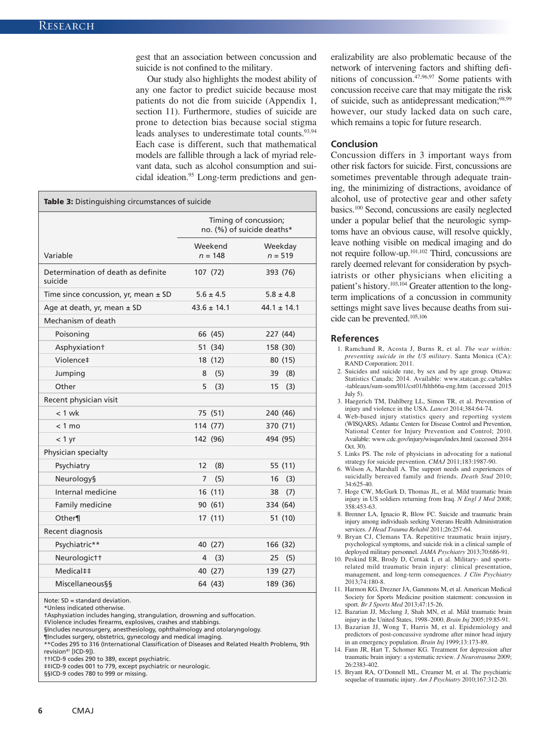gest that an association between concussion and suicide is not confined to the military.

Our study also highlights the modest ability of any one factor to predict suicide because most patients do not die from suicide (Appendix 1, section 11). Furthermore, studies of suicide are prone to detection bias because social stigma leads analyses to underestimate total counts.<sup>93,94</sup> Each case is different, such that mathematical models are fallible through a lack of myriad relevant data, such as alcohol consumption and suicidal ideation.95 Long-term predictions and gen-

| <b>Table 3:</b> Distinguishing circumstances of suicide |                                                     |                      |                      |  |  |  |  |
|---------------------------------------------------------|-----------------------------------------------------|----------------------|----------------------|--|--|--|--|
|                                                         | Timing of concussion;<br>no. (%) of suicide deaths* |                      |                      |  |  |  |  |
| Variable                                                |                                                     | Weekend<br>$n = 148$ | Weekday<br>$n = 519$ |  |  |  |  |
| Determination of death as definite<br>suicide           |                                                     | 107(72)              | 393 (76)             |  |  |  |  |
| Time since concussion, yr, mean $\pm$ SD                |                                                     | $5.6 \pm 4.5$        | $5.8 \pm 4.8$        |  |  |  |  |
| Age at death, yr, mean ± SD                             |                                                     | $43.6 \pm 14.1$      | $44.1 \pm 14.1$      |  |  |  |  |
| Mechanism of death                                      |                                                     |                      |                      |  |  |  |  |
| Poisoning                                               |                                                     | 66 (45)              | 227 (44)             |  |  |  |  |
| Asphyxiationt                                           |                                                     | 51 (34)              | 158 (30)             |  |  |  |  |
| Violence‡                                               |                                                     | 18 (12)              | 80 (15)              |  |  |  |  |
| Jumping                                                 | 8                                                   | (5)                  | 39 (8)               |  |  |  |  |
| Other                                                   | 5                                                   | (3)                  | 15<br>(3)            |  |  |  |  |
| Recent physician visit                                  |                                                     |                      |                      |  |  |  |  |
| $< 1$ wk                                                |                                                     | 75 (51)              | 240 (46)             |  |  |  |  |
| $< 1$ mo                                                |                                                     | 114 (77)             | 370 (71)             |  |  |  |  |
| < 1 yr                                                  |                                                     | 142 (96)             | 494 (95)             |  |  |  |  |
| Physician specialty                                     |                                                     |                      |                      |  |  |  |  |
| Psychiatry                                              | 12                                                  | (8)                  | 55 (11)              |  |  |  |  |
| <b>Neurology</b> §                                      | $\overline{7}$                                      | (5)                  | 16<br>(3)            |  |  |  |  |
| Internal medicine                                       |                                                     | 16 (11)              | (7)<br>38            |  |  |  |  |
| Family medicine                                         |                                                     | 90 (61)              | 334 (64)             |  |  |  |  |
| Other¶                                                  |                                                     | 17(11)               | 51 (10)              |  |  |  |  |
| Recent diagnosis                                        |                                                     |                      |                      |  |  |  |  |
| Psychiatric**                                           |                                                     | 40 (27)              | 166 (32)             |  |  |  |  |
| Neurologictt                                            | 4                                                   | (3)                  | 25<br>(5)            |  |  |  |  |
| Medical‡‡                                               |                                                     | 40 (27)              | 139 (27)             |  |  |  |  |
| <b>Miscellaneous&amp;</b>                               |                                                     | 64 (43)              | 189 (36)             |  |  |  |  |

Note: SD = standard deviation.

\*Unless indicated otherwise.

†Asphyxiation includes hanging, strangulation, drowning and suffocation.

‡Violence includes firearms, explosives, crashes and stabbings. §Includes neurosurgery, anesthesiology, ophthalmology and otolaryngology.

¶Includes surgery, obstetrics, gynecology and medical imaging.

\*\*Codes 295 to 316 (International Classification of Diseases and Related Health Problems, 9th revision<sup>41</sup> [ICD-9]).

††ICD-9 codes 290 to 389, except psychiatric.

‡‡ICD-9 codes 001 to 779, except psychiatric or neurologic.

§§ICD-9 codes 780 to 999 or missing.

eralizability are also problematic because of the network of intervening factors and shifting definitions of concussion.47,96,97 Some patients with concussion receive care that may mitigate the risk of suicide, such as antidepressant medication;<sup>98,99</sup> however, our study lacked data on such care, which remains a topic for future research.

#### **Conclusion**

Concussion differs in 3 important ways from other risk factors for suicide. First, concussions are sometimes preventable through adequate training, the minimizing of distractions, avoidance of alcohol, use of protective gear and other safety basics.100 Second, concussions are easily neglected under a popular belief that the neurologic symptoms have an obvious cause, will resolve quickly, leave nothing visible on medical imaging and do not require follow-up.101,102 Third, concussions are rarely deemed relevant for consideration by psychiatrists or other physicians when eliciting a patient's history.<sup>103,104</sup> Greater attention to the longterm implications of a concussion in community settings might save lives because deaths from suicide can be prevented.105,106

#### **References**

- 1. Ramchand R, Acosta J, Burns R, et al. *The war within: preventing suicide in the US military*. Santa Monica (CA): RAND Corporation; 2011.
- 2. Suicides and suicide rate, by sex and by age group. Ottawa: Statistics Canada; 2014. Available: www.statcan.gc.ca/tables -tableaux/sum-som/l01/cst01/hlth66a-eng.htm (accessed 2015 July 5).
- 3. Haegerich TM, Dahlberg LL, Simon TR, et al. Prevention of injury and violence in the USA. *Lancet* 2014;384:64-74.
- 4. Web-based injury statistics query and reporting system (WISQARS). Atlanta: Centers for Disease Control and Prevention, National Center for Injury Prevention and Control; 2010. Available: www.cdc.gov/injury/wisqars/index.html (accessed 2014 Oct. 30).
- 5. Links PS. The role of physicians in advocating for a national strategy for suicide prevention. *CMAJ* 2011;183:1987-90.
- 6. Wilson A, Marshall A. The support needs and experiences of suicidally bereaved family and friends. *Death Stud* 2010; 34:625-40.
- 7. Hoge CW, McGurk D, Thomas JL, et al. Mild traumatic brain injury in US soldiers returning from Iraq. *N Engl J Med* 2008; 358:453-63.
- 8. Brenner LA, Ignacio R, Blow FC. Suicide and traumatic brain injury among individuals seeking Veterans Health Administration services. *J Head Trauma Rehabil* 2011;26:257-64.
- 9. Bryan CJ, Clemans TA. Repetitive traumatic brain injury, psychological symptoms, and suicide risk in a clinical sample of deployed military personnel. *JAMA Psychiatry* 2013;70:686-91.
- 10. Peskind ER, Brody D, Cernak I, et al. Military- and sportsrelated mild traumatic brain injury: clinical presentation, management, and long-term consequences. *J Clin Psychiatry* 2013;74:180-8.
- 11. Harmon KG, Drezner JA, Gammons M, et al. American Medical Society for Sports Medicine position statement: concussion in sport. *Br J Sports Med* 2013;47:15-26.
- 12. Bazarian JJ, Mcclung J, Shah MN, et al. Mild traumatic brain injury in the United States, 1998–2000. *Brain Inj* 2005;19:85-91.
- 13. Bazarian JJ, Wong T, Harris M, et al. Epidemiology and predictors of post-concussive syndrome after minor head injury in an emergency population. *Brain Inj* 1999;13:173-89.
- 14. Fann JR, Hart T, Schomer KG. Treatment for depression after traumatic brain injury: a systematic review. *J Neurotrauma* 2009; 26:2383-402.
- 15. Bryant RA, O'Donnell ML, Creamer M, et al. The psychiatric sequelae of traumatic injury. *Am J Psychiatry* 2010;167:312-20.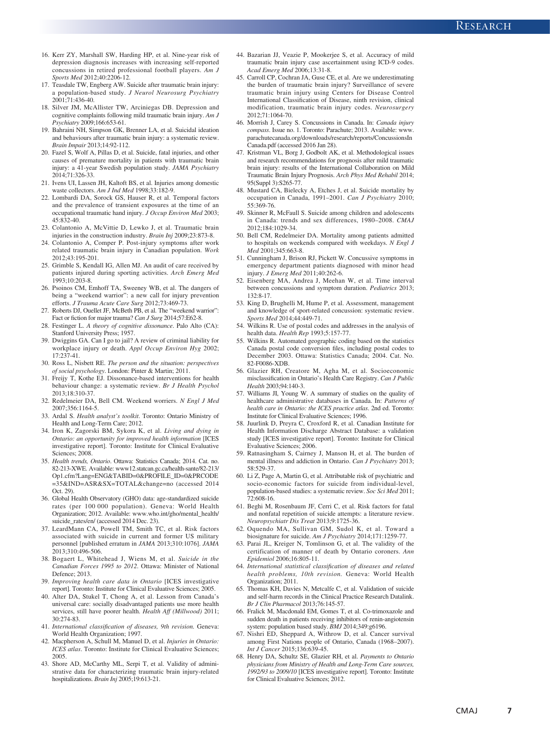- 16. Kerr ZY, Marshall SW, Harding HP, et al. Nine-year risk of depression diagnosis increases with increasing self-reported concussions in retired professional football players. *Am J Sports Med* 2012;40:2206-12.
- 17. Teasdale TW, Engberg AW. Suicide after traumatic brain injury: a population-based study. *J Neurol Neurosurg Psychiatry* 2001;71:436-40.
- 18. Silver JM, McAllister TW, Arciniegas DB. Depression and cognitive complaints following mild traumatic brain injury. *Am J Psychiatry* 2009;166:653-61.
- 19. Bahraini NH, Simpson GK, Brenner LA, et al. Suicidal ideation and behaviours after traumatic brain injury: a systematic review. *Brain Impair* 2013;14:92-112.
- 20. Fazel S, Wolf A, Pillas D, et al. Suicide, fatal injuries, and other causes of premature mortality in patients with traumatic brain injury: a 41-year Swedish population study. *JAMA Psychiatry* 2014;71:326-33.
- 21. Ivens UI, Lassen JH, Kaltoft BS, et al. Injuries among domestic waste collectors. *Am J Ind Med* 1998;33:182-9.
- 22. Lombardi DA, Sorock GS, Hauser R, et al. Temporal factors and the prevalence of transient exposures at the time of an occupational traumatic hand injury. *J Occup Environ Med* 2003; 45:832-40.
- 23. Colantonio A, McVittie D, Lewko J, et al. Traumatic brain injuries in the construction industry. *Brain Inj* 2009;23:873-8.
- 24. Colantonio A, Comper P. Post-injury symptoms after work related traumatic brain injury in Canadian population. *Work* 2012;43:195-201.
- 25. Grimble S, Kendall IG, Allen MJ. An audit of care received by patients injured during sporting activities. *Arch Emerg Med* 1993;10:203-8.
- 26. Psoinos CM, Emhoff TA, Sweeney WB, et al. The dangers of being a "weekend warrior": a new call for injury prevention efforts. *J Trauma Acute Care Surg* 2012;73:469-73.
- 27. Roberts DJ, Ouellet JF, McBeth PB, et al. The "weekend warrior": Fact or fiction for major trauma? *Can J Surg* 2014;57:E62-8.
- 28. Festinger L. *A theory of cognitive dissonance*. Palo Alto (CA): Stanford University Press; 1957.
- 39. Dwiggins GA. Can I go to jail? A review of criminal liability for workplace injury or death. *Appl Occup Environ Hyg* 2002; 17:237-41.
- 30. Ross L, Nisbett RE. *The person and the situation: perspectives of social psychology*. London: Pinter & Martin; 2011.
- 31. Freijy T, Kothe EJ. Dissonance-based interventions for health behaviour change: a systematic review. *Br J Health Psychol* 2013;18:310-37.
- 32. Redelmeier DA, Bell CM. Weekend worriers. *N Engl J Med* 2007;356:1164-5.
- 33. Ardal S. *Health analyst's toolkit*. Toronto: Ontario Ministry of Health and Long-Term Care; 2012.
- 34. Iron K, Zagorski BM, Sykora K, et al. *Living and dying in Ontario: an opportunity for improved health information* [ICES investigative report]. Toronto: Institute for Clinical Evaluative Sciences; 2008.
- 35. *Health trends, Ontario*. Ottawa: Statistics Canada; 2014. Cat. no. 82-213-XWE. Available: www12.statcan.gc.ca/health-sante/82-213/ Op1.cfm?Lang=ENG&TABID=0&PROFILE\_ID=0&PRCODE =35&IND=ASR&SX=TOTAL&change=no (accessed 2014 Oct. 29).
- 36. Global Health Observatory (GHO) data: age-standardized suicide rates (per 100 000 population). Geneva: World Health Organization; 2012. Available: www.who.int/gho/mental\_health/ suicide rates/en/ (accessed 2014 Dec. 23).
- 37. LeardMann CA, Powell TM, Smith TC, et al. Risk factors associated with suicide in current and former US military personnel [published erratum in *JAMA* 2013;310:1076]. *JAMA* 2013;310:496-506.
- 38. Bogaert L, Whitehead J, Wiens M, et al. *Suicide in the Canadian Forces 1995 to 2012*. Ottawa: Minister of National Defence; 2013.
- 39. *Improving health care data in Ontario* [ICES investigative report]. Toronto: Institute for Clinical Evaluative Sciences; 2005.
- 40. Alter DA, Stukel T, Chong A, et al. Lesson from Canada's universal care: socially disadvantaged patients use more health services, still have poorer health. *Health Aff (Millwood)* 2011; 30:274-83.
- 41. *International classification of diseases, 9th revision.* Geneva: World Health Organization; 1997.
- 42. Macpherson A, Schull M, Manuel D, et al. *Injuries in Ontario: ICES atlas*. Toronto: Institute for Clinical Evaluative Sciences; 2005.
- 43. Shore AD, McCarthy ML, Serpi T, et al. Validity of administrative data for characterizing traumatic brain injury-related hospitalizations. *Brain Inj* 2005;19:613-21.
- 44. Bazarian JJ, Veazie P, Mookerjee S, et al. Accuracy of mild traumatic brain injury case ascertainment using ICD-9 codes. *Acad Emerg Med* 2006;13:31-8.
- 45. Carroll CP, Cochran JA, Guse CE, et al. Are we underestimating the burden of traumatic brain injury? Surveillance of severe traumatic brain injury using Centers for Disease Control International Classification of Disease, ninth revision, clinical modification, traumatic brain injury codes. *Neurosurgery* 2012;71:1064-70.
- 46. Morrish J, Carey S. Concussions in Canada. In: *Canada injury compass*. Issue no. 1. Toronto: Parachute; 2013. Available: www. parachutecanada.org/downloads/research/reports/ConcussionsIn Canada.pdf (accessed 2016 Jan 28).
- 47. Kristman VL, Borg J, Godbolt AK, et al. Methodological issues and research recommendations for prognosis after mild traumatic brain injury: results of the International Collaboration on Mild Traumatic Brain Injury Prognosis. *Arch Phys Med Rehabil* 2014; 95(Suppl 3):S265-77.
- 48. Mustard CA, Bielecky A, Etches J, et al. Suicide mortality by occupation in Canada, 1991–2001. *Can J Psychiatry* 2010; 55:369-76.
- 49. Skinner R, McFaull S. Suicide among children and adolescents in Canada: trends and sex differences, 1980–2008. *CMAJ* 2012;184:1029-34.
- 50. Bell CM, Redelmeier DA. Mortality among patients admitted to hospitals on weekends compared with weekdays. *N Engl J Med* 2001;345:663-8.
- 51. Cunningham J, Brison RJ, Pickett W. Concussive symptoms in emergency department patients diagnosed with minor head injury. *J Emerg Med* 2011;40:262-6.
- 52. Eisenberg MA, Andrea J, Meehan W, et al. Time interval between concussions and symptom duration. *Pediatrics* 2013; 132:8-17.
- 53. King D, Brughelli M, Hume P, et al. Assessment, management and knowledge of sport-related concussion: systematic review. *Sports Med* 2014;44:449-71.
- 54. Wilkins R. Use of postal codes and addresses in the analysis of health data. *Health Rep* 1993;5:157-77.
- 55. Wilkins R. Automated geographic coding based on the statistics Canada postal code conversion files, including postal codes to December 2003. Ottawa: Statistics Canada; 2004. Cat. No. 82-F0086-XDB.
- 56. Glazier RH, Creatore M, Agha M, et al. Socioeconomic misclassification in Ontario's Health Care Registry. *Can J Public Health* 2003;94:140-3.
- 57. Williams JI, Young W. A summary of studies on the quality of healthcare administrative databases in Canada. In: *Patterns of health care in Ontario: the ICES practice atlas*. 2nd ed. Toronto: Institute for Clinical Evaluative Sciences; 1996.
- 58. Juurlink D, Preyra C, Croxford R, et al. Canadian Institute for Health Information Discharge Abstract Database: a validation study [ICES investigative report]. Toronto: Institute for Clinical Evaluative Sciences; 2006.
- 59. Ratnasingham S, Cairney J, Manson H, et al. The burden of mental illness and addiction in Ontario. *Can J Psychiatry* 2013; 58:529-37.
- 60. Li Z, Page A, Martin G, et al. Attributable risk of psychiatric and socio-economic factors for suicide from individual-level, population-based studies: a systematic review. *Soc Sci Med* 2011; 72:608-16.
- 61. Beghi M, Rosenbaum JF, Cerri C, et al. Risk factors for fatal and nonfatal repetition of suicide attempts: a literature review. *Neuropsychiatr Dis Treat* 2013;9:1725-36.
- 62. Oquendo MA, Sullivan GM, Sudol K, et al. Toward a biosignature for suicide. *Am J Psychiatry* 2014;171:1259-77.
- 63. Parai JL, Kreiger N, Tomlinson G, et al. The validity of the certification of manner of death by Ontario coroners. *Ann Epidemiol* 2006;16:805-11.
- 64. *International statistical classification of diseases and related health problems, 10th revision.* Geneva: World Health Organization; 2011.
- 65. Thomas KH, Davies N, Metcalfe C, et al. Validation of suicide and self-harm records in the Clinical Practice Research Datalink. *Br J Clin Pharmacol* 2013;76:145-57.
- 66. Fralick M, Macdonald EM, Gomes T, et al. Co-trimoxazole and sudden death in patients receiving inhibitors of renin-angiotensin system: population based study. *BMJ* 2014;349:g6196.
- 67. Nishri ED, Sheppard A, Withrow D, et al. Cancer survival among First Nations people of Ontario, Canada (1968–2007). *Int J Cancer* 2015;136:639-45.
- 68. Henry DA, Schultz SE, Glazier RH, et al. *Payments to Ontario physicians from Ministry of Health and Long-Term Care sources, 1992/93 to 2009/10* [ICES investigative report]. Toronto: Institute for Clinical Evaluative Sciences; 2012.